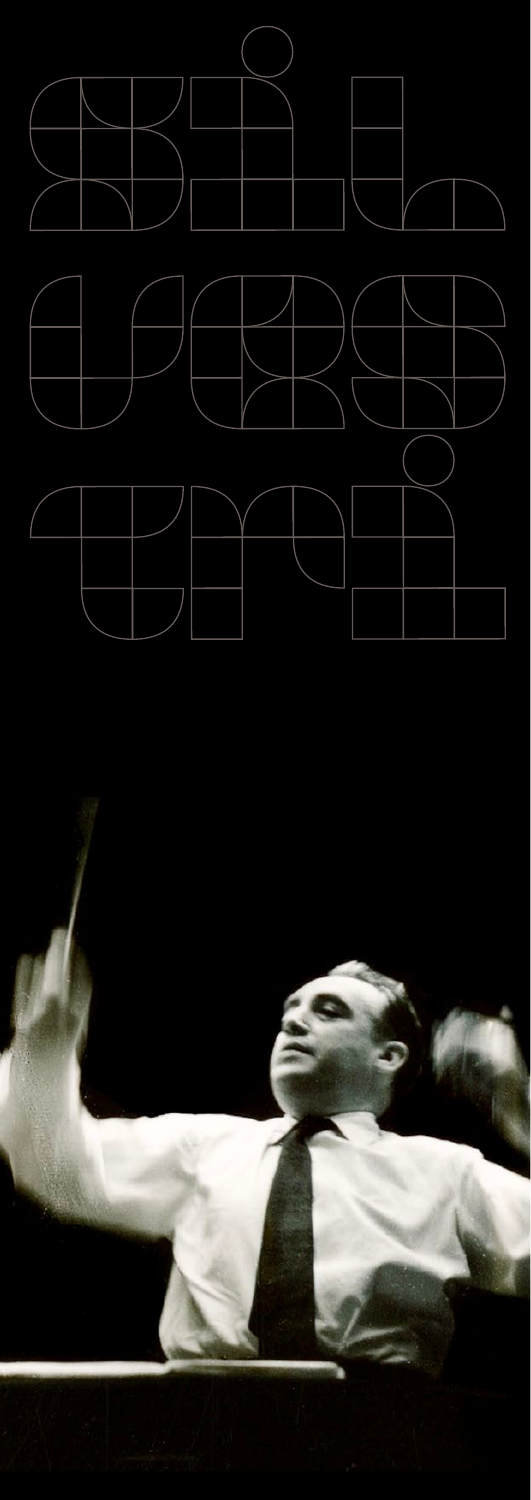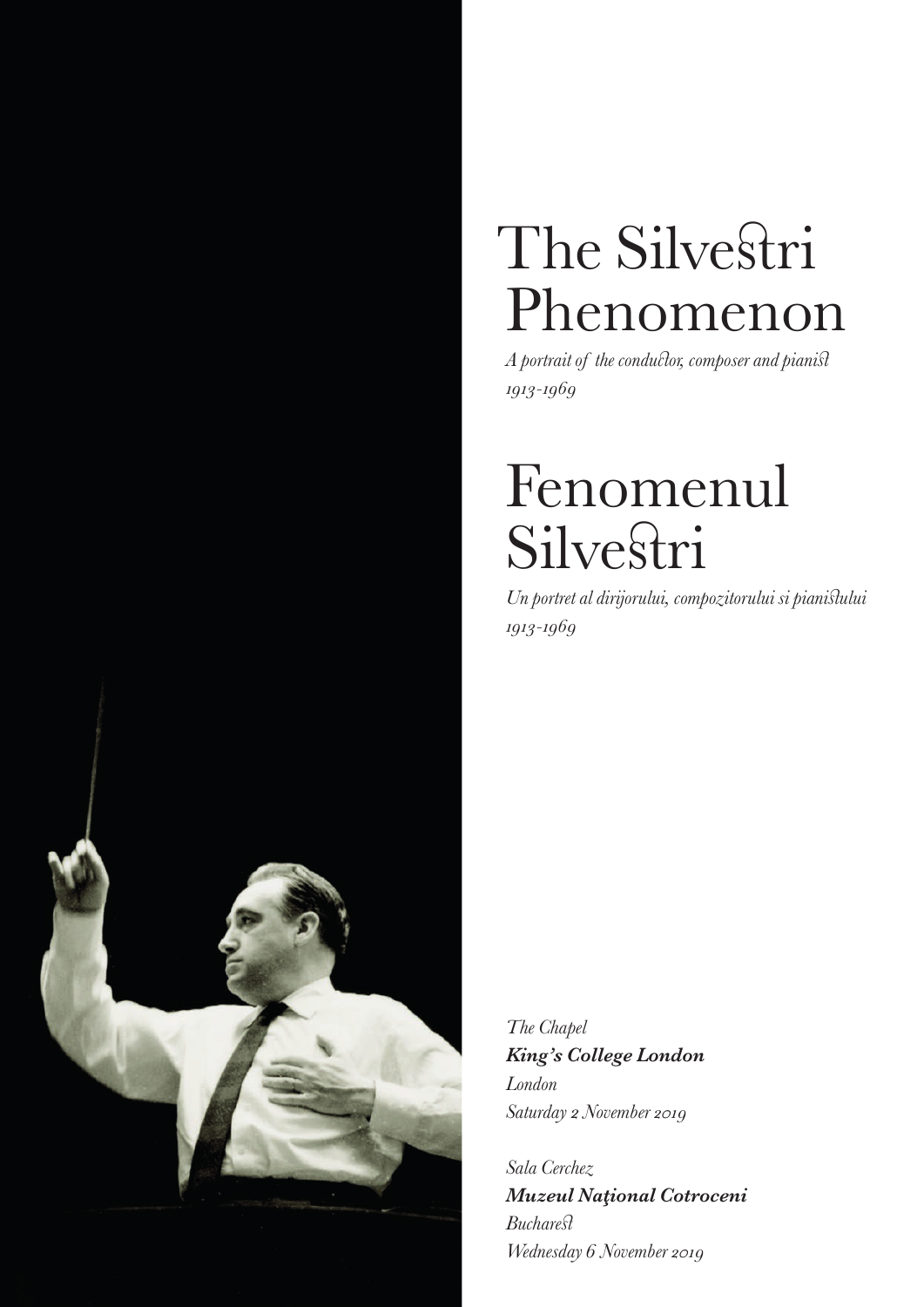# The Silvestri Phenomenon

A portrait of the conductor, composer and pianist 1913-1969

# Fenomenul Silvestri

Un portret al dirijorului, compozitorului si pianistului 1913-1969

The Chapel King's College London London Saturday 2 November 2019

Sala Cerchez Muzeul Național Cotroceni **Bucharest** Wednesday 6 November 2019

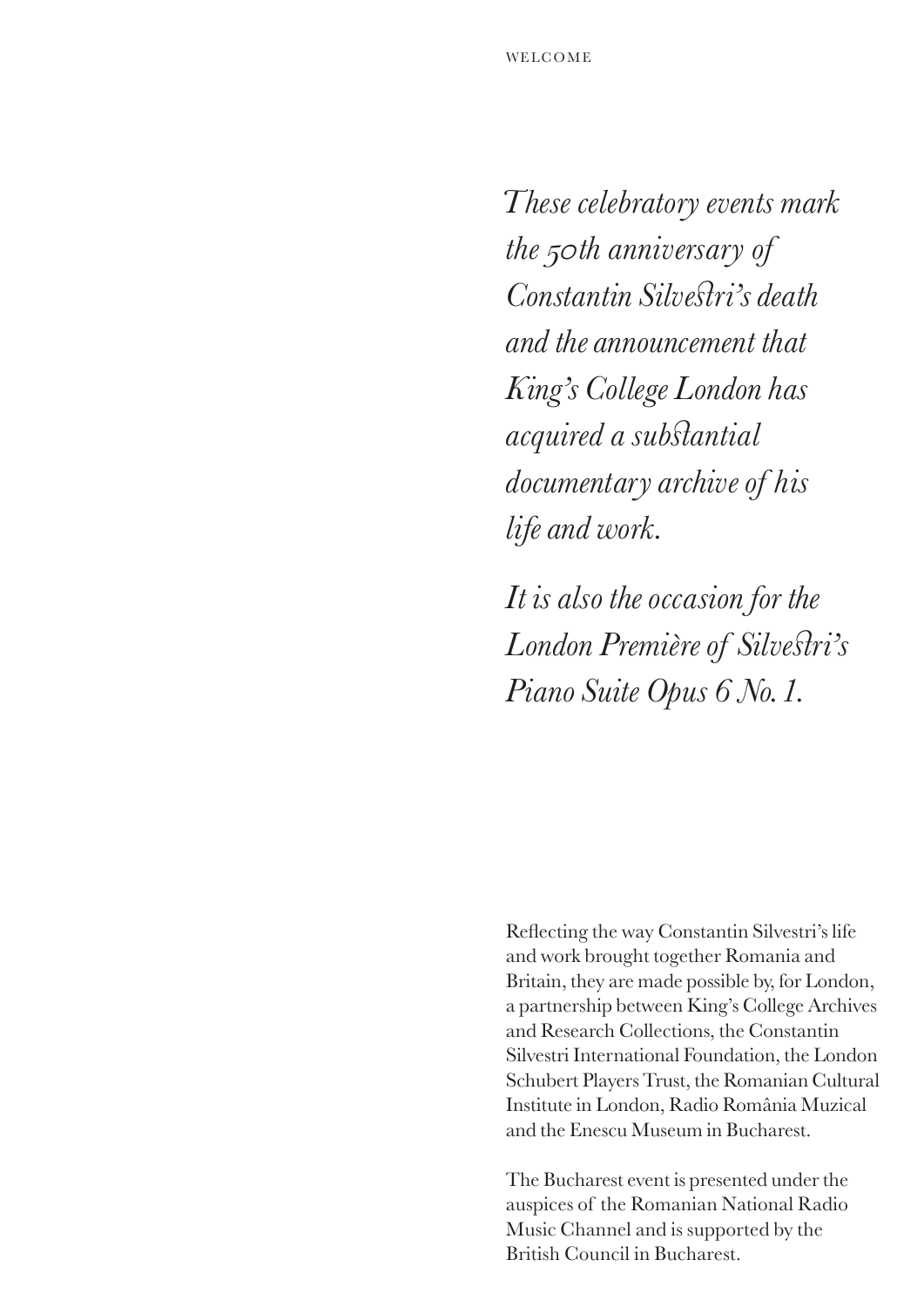*These celebratory events mark the ��th anniversary of Constantin Silvestri's death and the announcement that King's College London has acquired a substantial documentary archive of his life and work.* 

*It is also the occasion for the London Première of Silvestri's Piano Suite Opus 6 No. 1.*

Reflecting the way Constantin Silvestri's life and work brought together Romania and Britain, they are made possible by, for London, a partnership between King's College Archives and Research Collections, the Constantin Silvestri International Foundation, the London Schubert Players Trust, the Romanian Cultural Institute in London, Radio România Muzical and the Enescu Museum in Bucharest.

The Bucharest event is presented under the auspices of the Romanian National Radio Music Channel and is supported by the British Council in Bucharest.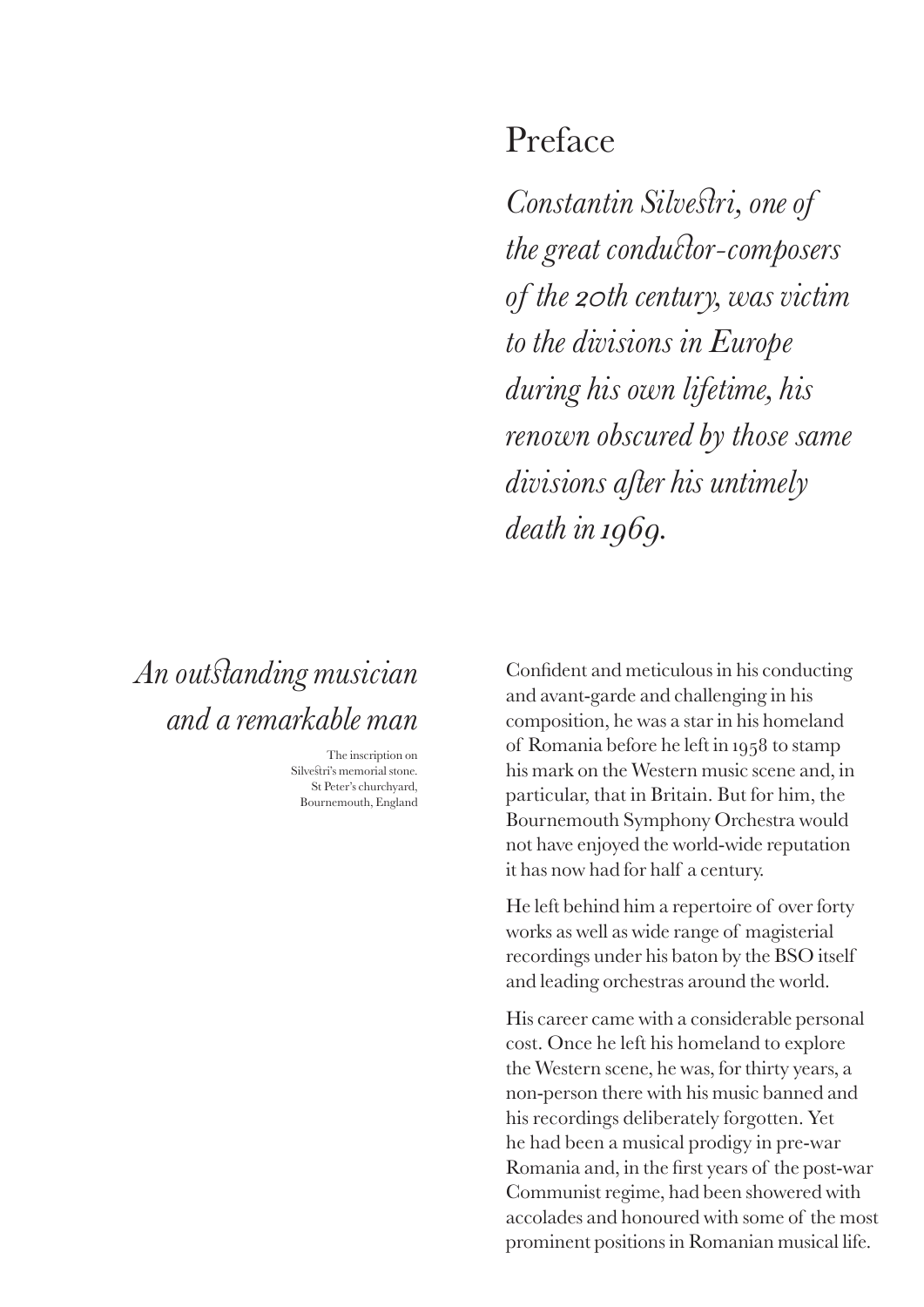### Preface

*Constantin Silvestri, one of the great condu�or-composers of the ��th century, was victim to the divisions in Europe during his own lifetime, his renown obscured by those same divisions aſter his untimely death in 1969.* 

### *An outstanding musician and a remarkable man*

The inscription on Silvestri's memorial stone. St Peter's churchyard, Bournemouth, England Confident and meticulous in his conducting and avant-garde and challenging in his composition, he was a star in his homeland of Romania before he left in  $1958$  to stamp his mark on the Western music scene and, in particular, that in Britain. But for him, the Bournemouth Symphony Orchestra would not have enjoyed the world-wide reputation it has now had for half a century.

He left behind him a repertoire of over forty works as well as wide range of magisterial recordings under his baton by the BSO itself and leading orchestras around the world.

His career came with a considerable personal cost. Once he left his homeland to explore the Western scene, he was, for thirty years, a non-person there with his music banned and his recordings deliberately forgotten. Yet he had been a musical prodigy in pre-war Romania and, in the first years of the post-war Communist regime, had been showered with accolades and honoured with some of the most prominent positions in Romanian musical life.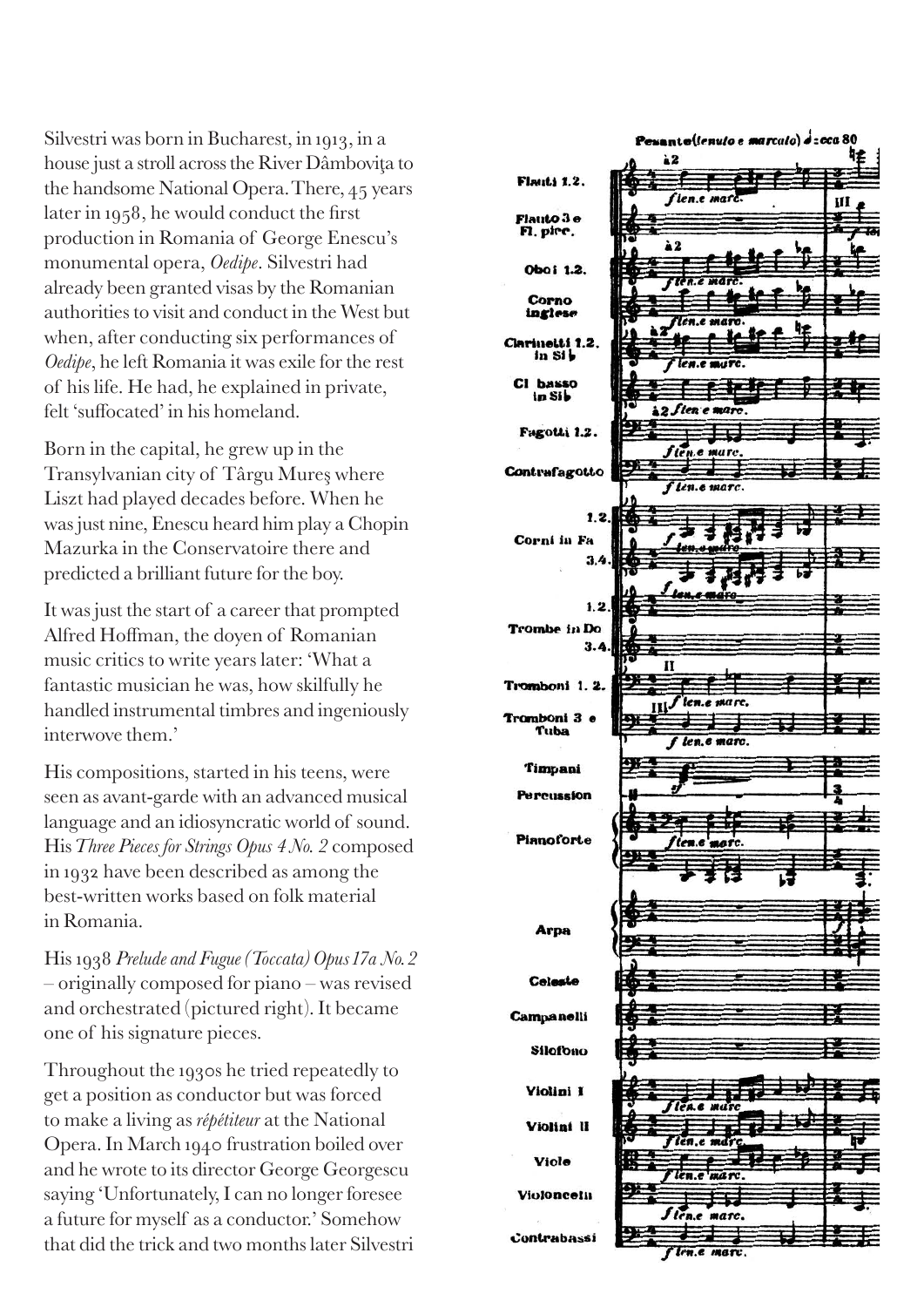Silvestri was born in Bucharest, in 1913, in a house just a stroll across the River Dâmbovita to the handsome National Opera. There, 45 years later in  $1958$ , he would conduct the first production in Romania of George Enescu's monumental opera, *Oedipe*. Silvestri had already been granted visas by the Romanian authorities to visit and conduct in the West but when, after conducting six performances of *Oedipe*, he left Romania it was exile for the rest of his life. He had, he explained in private, felt 'suffocated' in his homeland.

Born in the capital, he grew up in the Transylvanian city of Târgu Mureş where Liszt had played decades before. When he was just nine, Enescu heard him play a Chopin Mazurka in the Conservatoire there and predicted a brilliant future for the boy.

It was just the start of a career that prompted Alfred Hoffman, the doyen of Romanian music critics to write years later: 'What a fantastic musician he was, how skilfully he handled instrumental timbres and ingeniously interwove them.'

His compositions, started in his teens, were seen as avant-garde with an advanced musical language and an idiosyncratic world of sound. His *Three Pieces for Strings Opus 4 No. 2* composed in 1932 have been described as among the best-written works based on folk material in Romania.

His ���� *Prelude and Fugue (Toccata) Opus 17a No. 2* – originally composed for piano – was revised and orchestrated (pictured right). It became one of his signature pieces.

Throughout the 1930s he tried repeatedly to get a position as conductor but was forced to make a living as *répétiteur* at the National Opera. In March 1940 frustration boiled over and he wrote to its director George Georgescu saying 'Unfortunately, I can no longer foresee a future for myself as a conductor.' Somehow that did the trick and two months later Silvestri

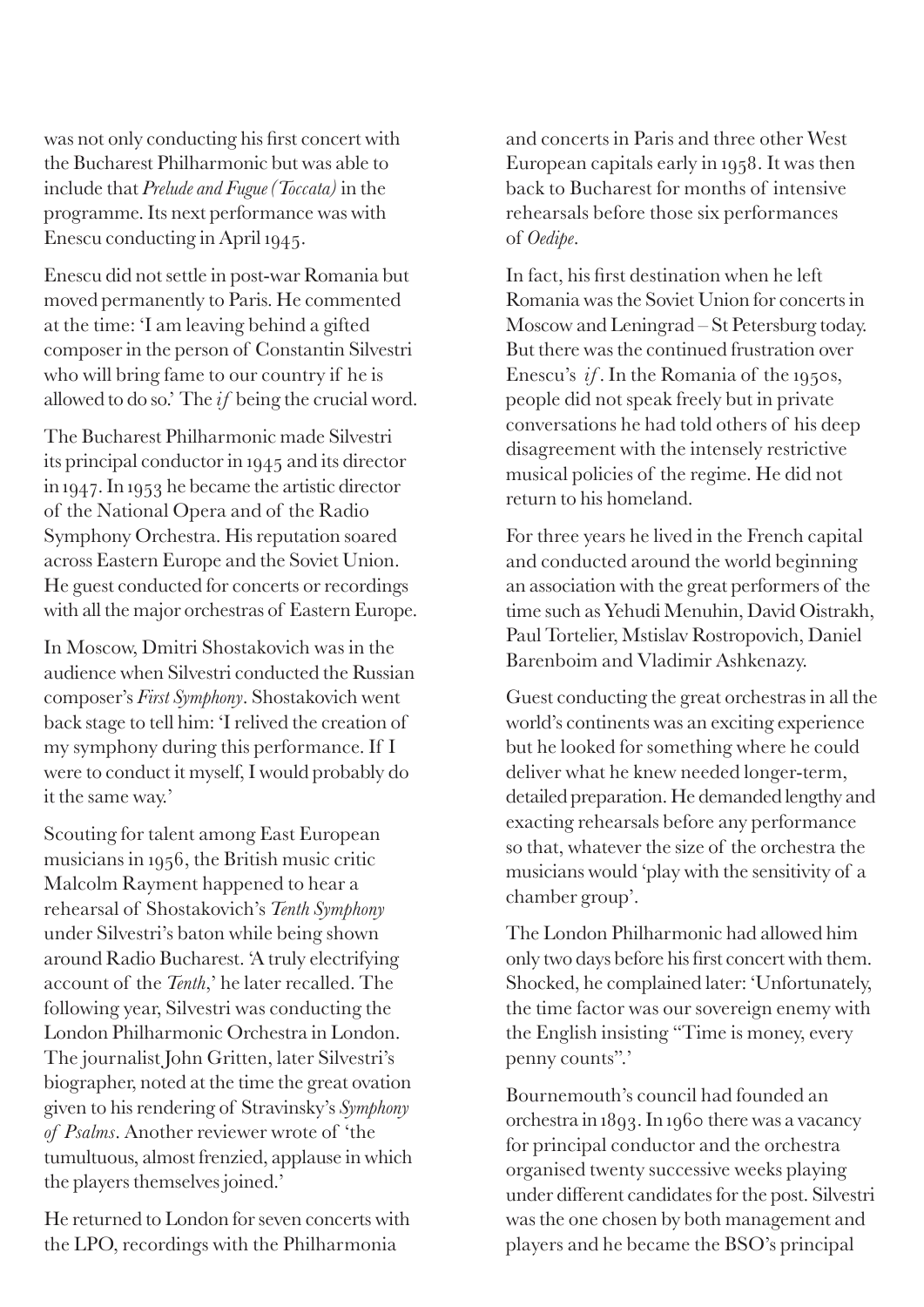was not only conducting his first concert with the Bucharest Philharmonic but was able to include that *Prelude and Fugue (Toccata)* in the programme. Its next performance was with Enescu conducting in April  $1945$ .

Enescu did not settle in post-war Romania but moved permanently to Paris. He commented at the time: 'I am leaving behind a gifted composer in the person of Constantin Silvestri who will bring fame to our country if he is allowed to do so.' The *if* being the crucial word.

The Bucharest Philharmonic made Silvestri its principal conductor in 1945 and its director in  $1947$ . In  $1953$  he became the artistic director of the National Opera and of the Radio Symphony Orchestra. His reputation soared across Eastern Europe and the Soviet Union. He guest conducted for concerts or recordings with all the major orchestras of Eastern Europe.

In Moscow, Dmitri Shostakovich was in the audience when Silvestri conducted the Russian composer's *First Symphony*. Shostakovich went back stage to tell him: 'I relived the creation of my symphony during this performance. If I were to conduct it myself, I would probably do it the same way.'

Scouting for talent among East European musicians in  $1956$ , the British music critic Malcolm Rayment happened to hear a rehearsal of Shostakovich's *Tenth Symphony* under Silvestri's baton while being shown around Radio Bucharest. 'A truly electrifying account of the *Tenth*,' he later recalled. The following year, Silvestri was conducting the London Philharmonic Orchestra in London. The journalist John Gritten, later Silvestri's biographer, noted at the time the great ovation given to his rendering of Stravinsky's *Symphony of Psalms*. Another reviewer wrote of 'the tumultuous, almost frenzied, applause in which the players themselves joined.'

He returned to London for seven concerts with the LPO, recordings with the Philharmonia

and concerts in Paris and three other West European capitals early in  $1958$ . It was then back to Bucharest for months of intensive rehearsals before those six performances of *Oedipe*.

In fact, his first destination when he left Romania was the Soviet Union for concerts in Moscow and Leningrad – St Petersburg today. But there was the continued frustration over Enescu's  $if$ . In the Romania of the  $1950s$ , people did not speak freely but in private conversations he had told others of his deep disagreement with the intensely restrictive musical policies of the regime. He did not return to his homeland.

For three years he lived in the French capital and conducted around the world beginning an association with the great performers of the time such as Yehudi Menuhin, David Oistrakh, Paul Tortelier, Mstislav Rostropovich, Daniel Barenboim and Vladimir Ashkenazy.

Guest conducting the great orchestras in all the world's continents was an exciting experience but he looked for something where he could deliver what he knew needed longer-term, detailed preparation. He demanded lengthy and exacting rehearsals before any performance so that, whatever the size of the orchestra the musicians would 'play with the sensitivity of a chamber group'.

The London Philharmonic had allowed him only two days before his first concert with them. Shocked, he complained later: 'Unfortunately, the time factor was our sovereign enemy with the English insisting "Time is money, every penny counts".'

Bournemouth's council had founded an orchestra in  $1893$ . In  $196$ o there was a vacancy for principal conductor and the orchestra organised twenty successive weeks playing under different candidates for the post. Silvestri was the one chosen by both management and players and he became the BSO's principal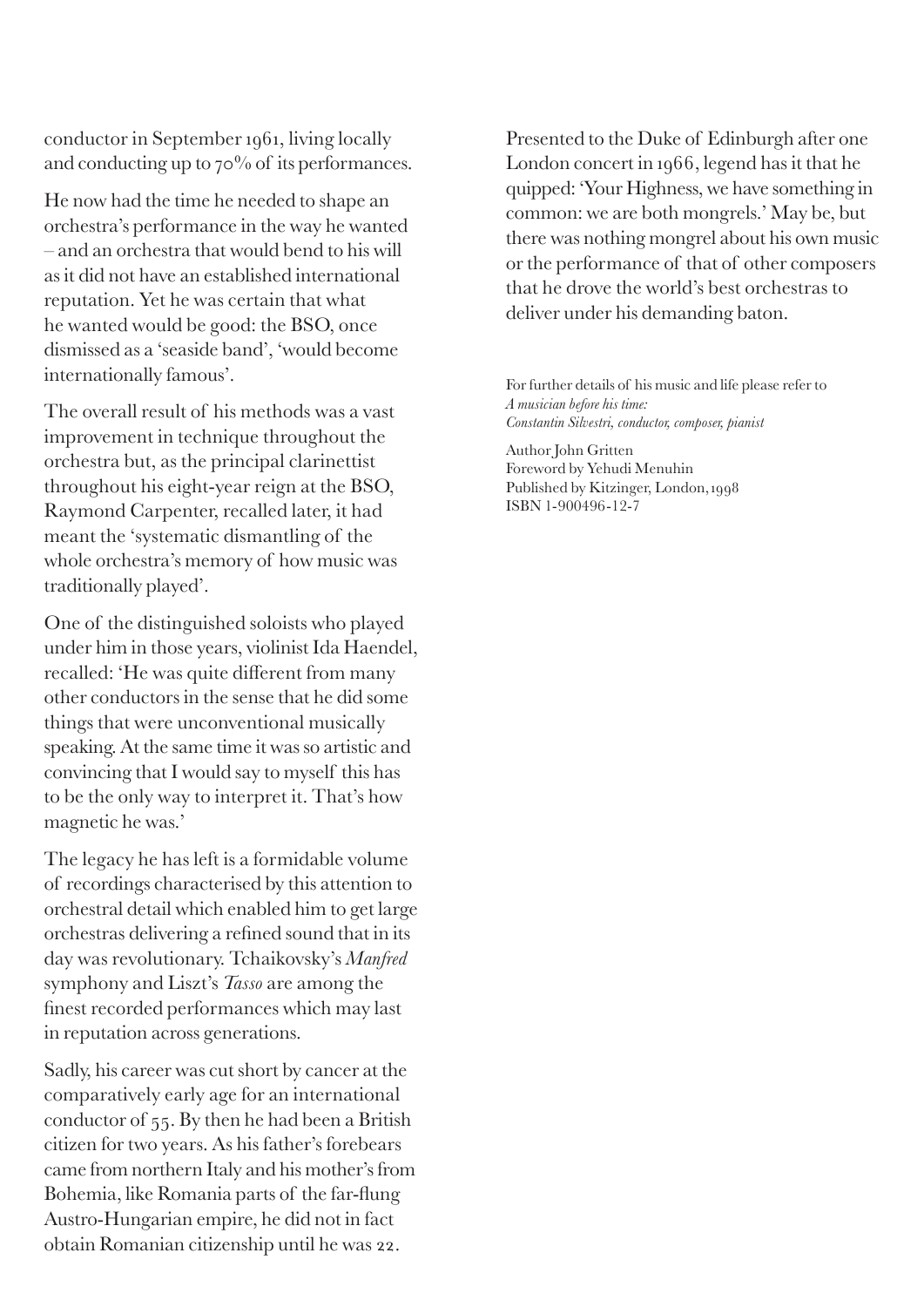conductor in September 1961, living locally and conducting up to  $70\%$  of its performances.

He now had the time he needed to shape an orchestra's performance in the way he wanted – and an orchestra that would bend to his will as it did not have an established international reputation. Yet he was certain that what he wanted would be good: the BSO, once dismissed as a 'seaside band', 'would become internationally famous'.

The overall result of his methods was a vast improvement in technique throughout the orchestra but, as the principal clarinettist throughout his eight-year reign at the BSO, Raymond Carpenter, recalled later, it had meant the 'systematic dismantling of the whole orchestra's memory of how music was traditionally played'.

One of the distinguished soloists who played under him in those years, violinist Ida Haendel, recalled: 'He was quite different from many other conductors in the sense that he did some things that were unconventional musically speaking. At the same time it was so artistic and convincing that I would say to myself this has to be the only way to interpret it. That's how magnetic he was.'

The legacy he has left is a formidable volume of recordings characterised by this attention to orchestral detail which enabled him to get large orchestras delivering a refined sound that in its day was revolutionary. Tchaikovsky's *Manfred* symphony and Liszt's *Tasso* are among the finest recorded performances which may last in reputation across generations.

Sadly, his career was cut short by cancer at the comparatively early age for an international conductor of  $55$ . By then he had been a British citizen for two years. As his father's forebears came from northern Italy and his mother's from Bohemia, like Romania parts of the far-flung Austro-Hungarian empire, he did not in fact obtain Romanian citizenship until he was ��.

Presented to the Duke of Edinburgh after one London concert in  $1966$ , legend has it that he quipped: 'Your Highness, we have something in common: we are both mongrels.' May be, but there was nothing mongrel about his own music or the performance of that of other composers that he drove the world's best orchestras to deliver under his demanding baton.

For further details of his music and life please refer to *A musician before his time: Constantin Silvestri, conductor, composer, pianist*

Author John Gritten Foreword by Yehudi Menuhin Published by Kitzinger, London, 1998 ISBN 1-900496-12-7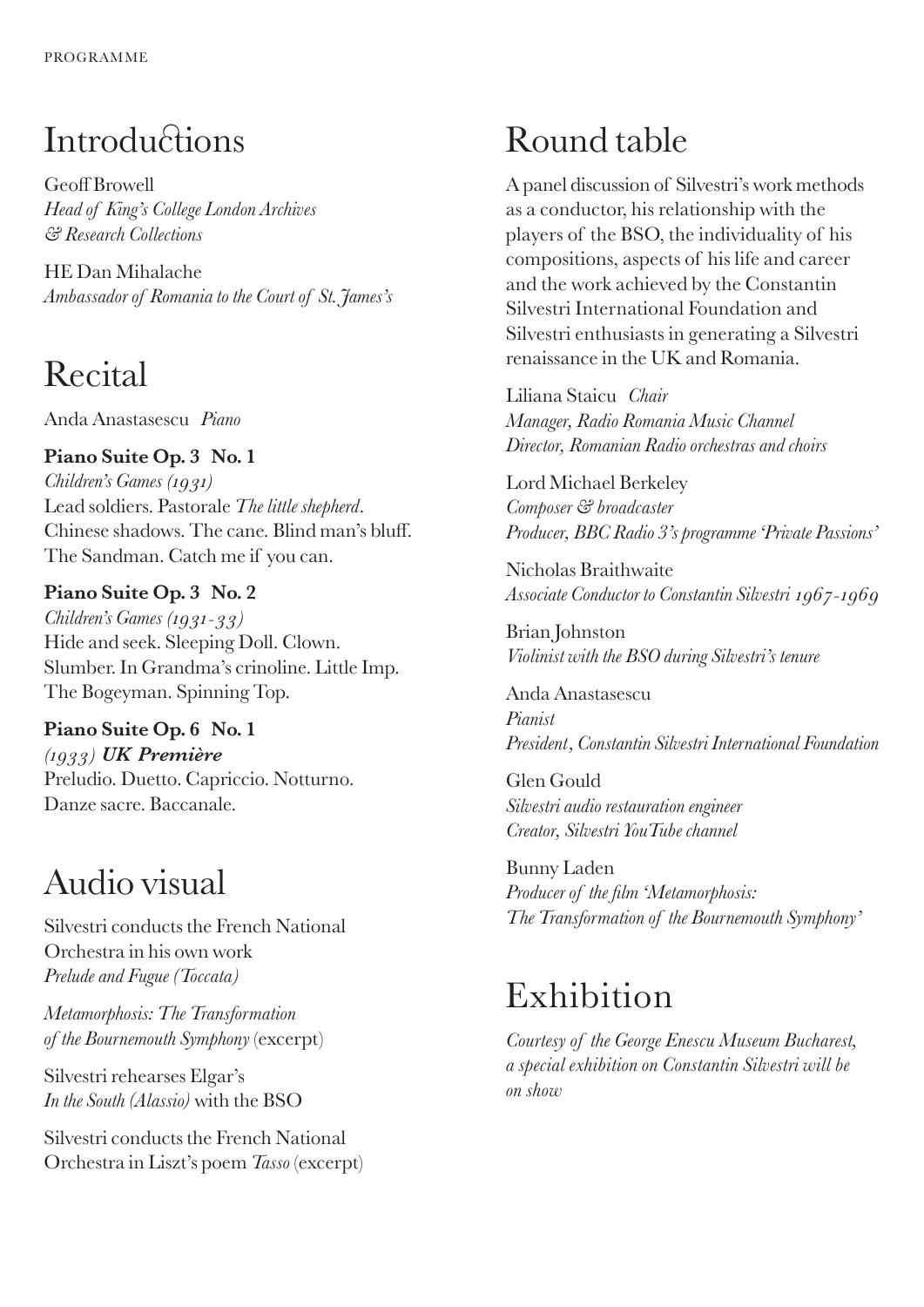# **Introductions**

Geoff Browell *Head of King's College London Archives & Research Collections*

HE Dan Mihalache *Ambassador of Romania to the Court of St. James's*

# Recital

Anda Anastasescu *Piano*

**Piano Suite Op. 3 No. 1**  *Children's Games (1931)* Lead soldiers. Pastorale *The little shepherd*. Chinese shadows. The cane. Blind man's bluff. The Sandman. Catch me if you can.

**Piano Suite Op. 3 No. 2**  *Children's Games (1931-33)* Hide and seek. Sleeping Doll. Clown. Slumber. In Grandma's crinoline. Little Imp. The Bogeyman. Spinning Top.

**Piano Suite Op. 6 No. 1**  *(����) UK Première* Preludio. Duetto. Capriccio. Notturno. Danze sacre. Baccanale.

## Audio visual

Silvestri conducts the French National Orchestra in his own work *Prelude and Fugue (Toccata)*

*Metamorphosis: The Transformation of the Bournemouth Symphony* (excerpt)

Silvestri rehearses Elgar's *In the South (Alassio)* with the BSO

Silvestri conducts the French National Orchestra in Liszt's poem *Tasso* (excerpt)

## Round table

A panel discussion of Silvestri's work methods as a conductor, his relationship with the players of the BSO, the individuality of his compositions, aspects of his life and career and the work achieved by the Constantin Silvestri International Foundation and Silvestri enthusiasts in generating a Silvestri renaissance in the UK and Romania.

Liliana Staicu *Chair Manager, Radio Romania Music Channel Director, Romanian Radio orchestras and choirs*

Lord Michael Berkeley *Composer & broadcaster Producer, BBC Radio 3's programme 'Private Passions'*

Nicholas Braithwaite Associate Conductor to Constantin Silvestri 1967-1969

Brian Johnston *Violinist with the BSO during Silvestri's tenure* 

Anda Anastasescu *Pianist President, Constantin Silvestri International Foundation*

Glen Gould *Silvestri audio restauration engineer Creator, Silvestri YouTube channel*

Bunny Laden *Producer of the film 'Metamorphosis: The Transformation of the Bournemouth Symphony'*

# Exhibition

*Courtesy of the George Enescu Museum Bucharest, a special exhibition on Constantin Silvestri will be on show*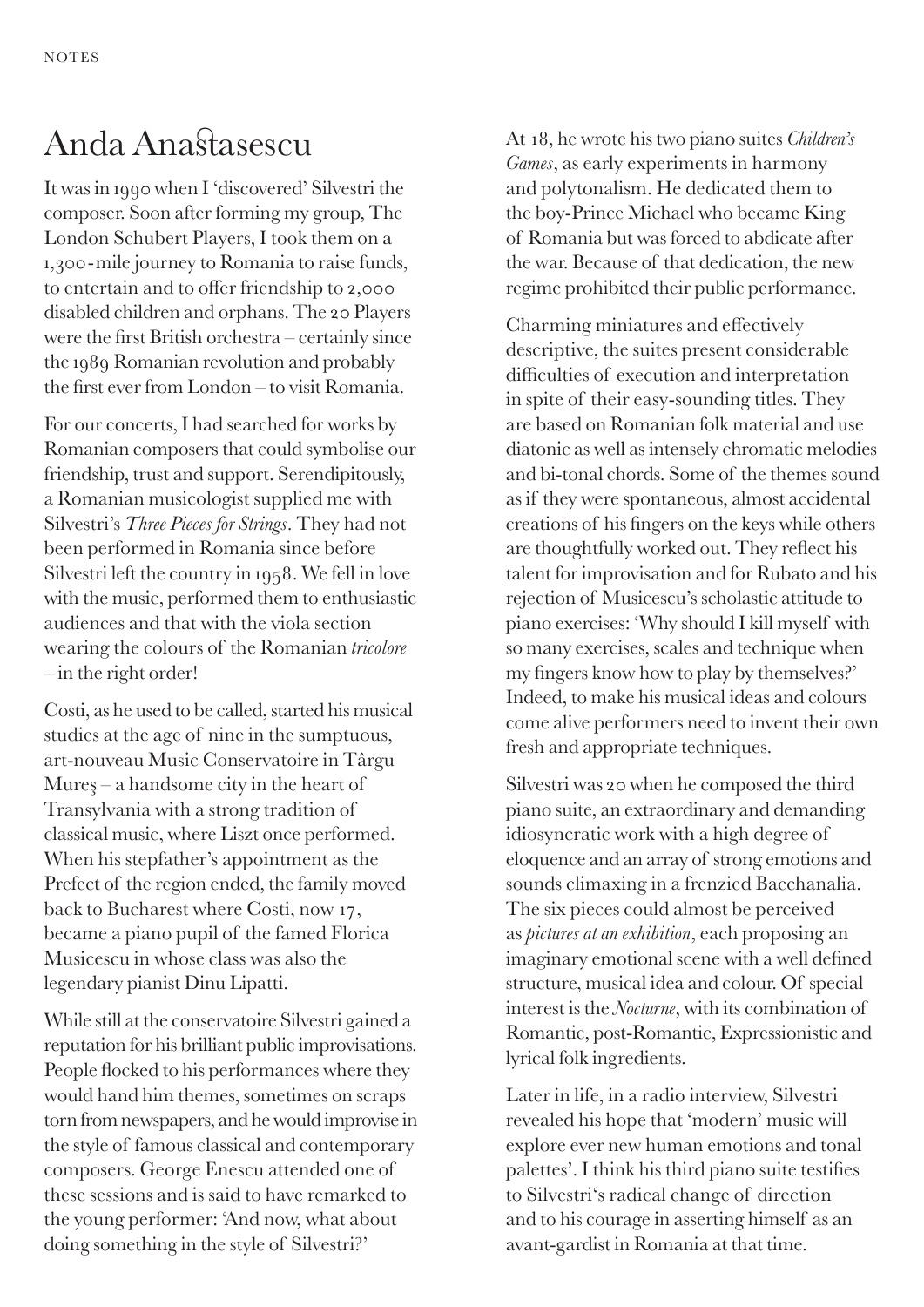## Anda Anastasescu

It was in 1990 when I 'discovered' Silvestri the composer. Soon after forming my group, The London Schubert Players, I took them on a 1,300-mile journey to Romania to raise funds, to entertain and to offer friendship to 2,000 disabled children and orphans. The 20 Players were the first British orchestra – certainly since the 1989 Romanian revolution and probably the first ever from London – to visit Romania.

For our concerts, I had searched for works by Romanian composers that could symbolise our friendship, trust and support. Serendipitously, a Romanian musicologist supplied me with Silvestri's *Three Pieces for Strings*. They had not been performed in Romania since before Silvestri left the country in  $1958$ . We fell in love with the music, performed them to enthusiastic audiences and that with the viola section wearing the colours of the Romanian *tricolore* – in the right order!

Costi, as he used to be called, started his musical studies at the age of nine in the sumptuous, art-nouveau Music Conservatoire in Târgu Mureş – a handsome city in the heart of Transylvania with a strong tradition of classical music, where Liszt once performed. When his stepfather's appointment as the Prefect of the region ended, the family moved back to Bucharest where Costi, now 17, became a piano pupil of the famed Florica Musicescu in whose class was also the legendary pianist Dinu Lipatti.

While still at the conservatoire Silvestri gained a reputation for his brilliant public improvisations. People flocked to his performances where they would hand him themes, sometimes on scraps torn from newspapers, and he would improvise in the style of famous classical and contemporary composers. George Enescu attended one of these sessions and is said to have remarked to the young performer: 'And now, what about doing something in the style of Silvestri?'

At ��, he wrote his two piano suites *Children's Games*, as early experiments in harmony and polytonalism. He dedicated them to the boy-Prince Michael who became King of Romania but was forced to abdicate after the war. Because of that dedication, the new regime prohibited their public performance.

Charming miniatures and effectively descriptive, the suites present considerable difficulties of execution and interpretation in spite of their easy-sounding titles. They are based on Romanian folk material and use diatonic as well as intensely chromatic melodies and bi-tonal chords. Some of the themes sound as if they were spontaneous, almost accidental creations of his fingers on the keys while others are thoughtfully worked out. They reflect his talent for improvisation and for Rubato and his rejection of Musicescu's scholastic attitude to piano exercises: 'Why should I kill myself with so many exercises, scales and technique when my fingers know how to play by themselves?' Indeed, to make his musical ideas and colours come alive performers need to invent their own fresh and appropriate techniques.

Silvestri was 20 when he composed the third piano suite, an extraordinary and demanding idiosyncratic work with a high degree of eloquence and an array of strong emotions and sounds climaxing in a frenzied Bacchanalia. The six pieces could almost be perceived as *pictures at an exhibition*, each proposing an imaginary emotional scene with a well defined structure, musical idea and colour. Of special interest is the *Nocturne*, with its combination of Romantic, post-Romantic, Expressionistic and lyrical folk ingredients.

Later in life, in a radio interview, Silvestri revealed his hope that 'modern' music will explore ever new human emotions and tonal palettes'. I think his third piano suite testifies to Silvestri's radical change of direction and to his courage in asserting himself as an avant-gardist in Romania at that time.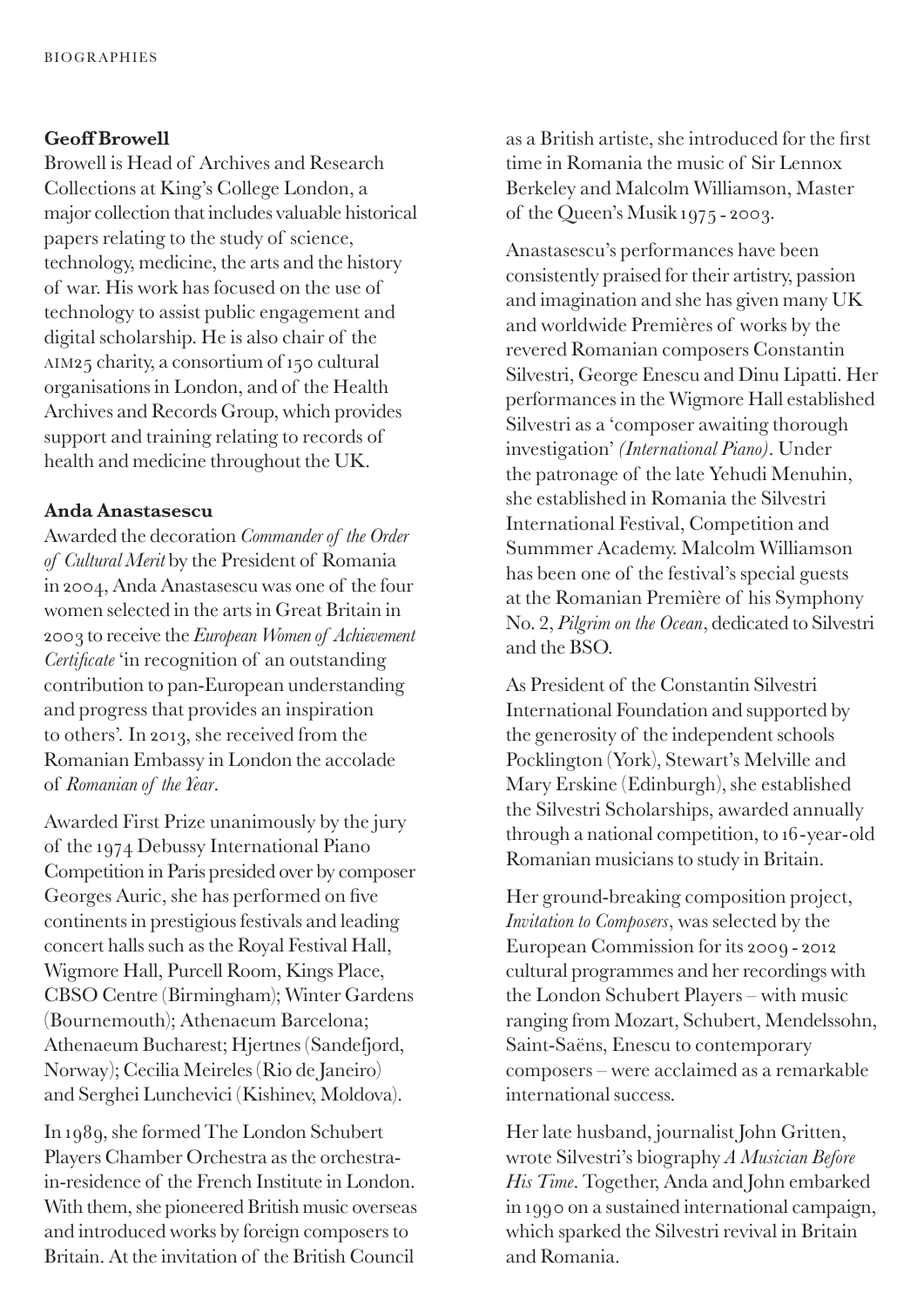#### **Geoff Browell**

Browell is Head of Archives and Research Collections at King's College London, a major collection that includes valuable historical papers relating to the study of science, technology, medicine, the arts and the history of war. His work has focused on the use of technology to assist public engagement and digital scholarship. He is also chair of the AIM25 charity, a consortium of 150 cultural organisations in London, and of the Health Archives and Records Group, which provides support and training relating to records of health and medicine throughout the UK.

#### **Anda Anastasescu**

Awarded the decoration *Commander of the Order of Cultural Merit* by the President of Romania in ����, Anda Anastasescu was one of the four women selected in the arts in Great Britain in ���� to receive the *European Women of Achievement Certificate* 'in recognition of an outstanding contribution to pan-European understanding and progress that provides an inspiration to others'. In 2013, she received from the Romanian Embassy in London the accolade of *Romanian of the Year*.

Awarded First Prize unanimously by the jury of the 1974 Debussy International Piano Competition in Paris presided over by composer Georges Auric, she has performed on five continents in prestigious festivals and leading concert halls such as the Royal Festival Hall, Wigmore Hall, Purcell Room, Kings Place, CBSO Centre (Birmingham); Winter Gardens (Bournemouth); Athenaeum Barcelona; Athenaeum Bucharest; Hjertnes (Sandefjord, Norway); Cecilia Meireles (Rio de Janeiro) and Serghei Lunchevici (Kishinev, Moldova).

In 1989, she formed The London Schubert Players Chamber Orchestra as the orchestrain-residence of the French Institute in London. With them, she pioneered British music overseas and introduced works by foreign composers to Britain. At the invitation of the British Council

as a British artiste, she introduced for the first time in Romania the music of Sir Lennox Berkeley and Malcolm Williamson, Master of the Queen's Musik  $1975 - 2003$ .

Anastasescu's performances have been consistently praised for their artistry, passion and imagination and she has given many UK and worldwide Premières of works by the revered Romanian composers Constantin Silvestri, George Enescu and Dinu Lipatti. Her performances in the Wigmore Hall established Silvestri as a 'composer awaiting thorough investigation' *(International Piano)*. Under the patronage of the late Yehudi Menuhin, she established in Romania the Silvestri International Festival, Competition and Summmer Academy. Malcolm Williamson has been one of the festival's special guests at the Romanian Première of his Symphony No. 2, *Pilgrim on the Ocean*, dedicated to Silvestri and the BSO.

As President of the Constantin Silvestri International Foundation and supported by the generosity of the independent schools Pocklington (York), Stewart's Melville and Mary Erskine (Edinburgh), she established the Silvestri Scholarships, awarded annually through a national competition, to 16-year-old Romanian musicians to study in Britain.

Her ground-breaking composition project, *Invitation to Composers*, was selected by the European Commission for its 2009 - 2012 cultural programmes and her recordings with the London Schubert Players – with music ranging from Mozart, Schubert, Mendelssohn, Saint-Saëns, Enescu to contemporary composers – were acclaimed as a remarkable international success.

Her late husband, journalist John Gritten, wrote Silvestri's biography *A Musician Before His Time*. Together, Anda and John embarked in 1990 on a sustained international campaign, which sparked the Silvestri revival in Britain and Romania.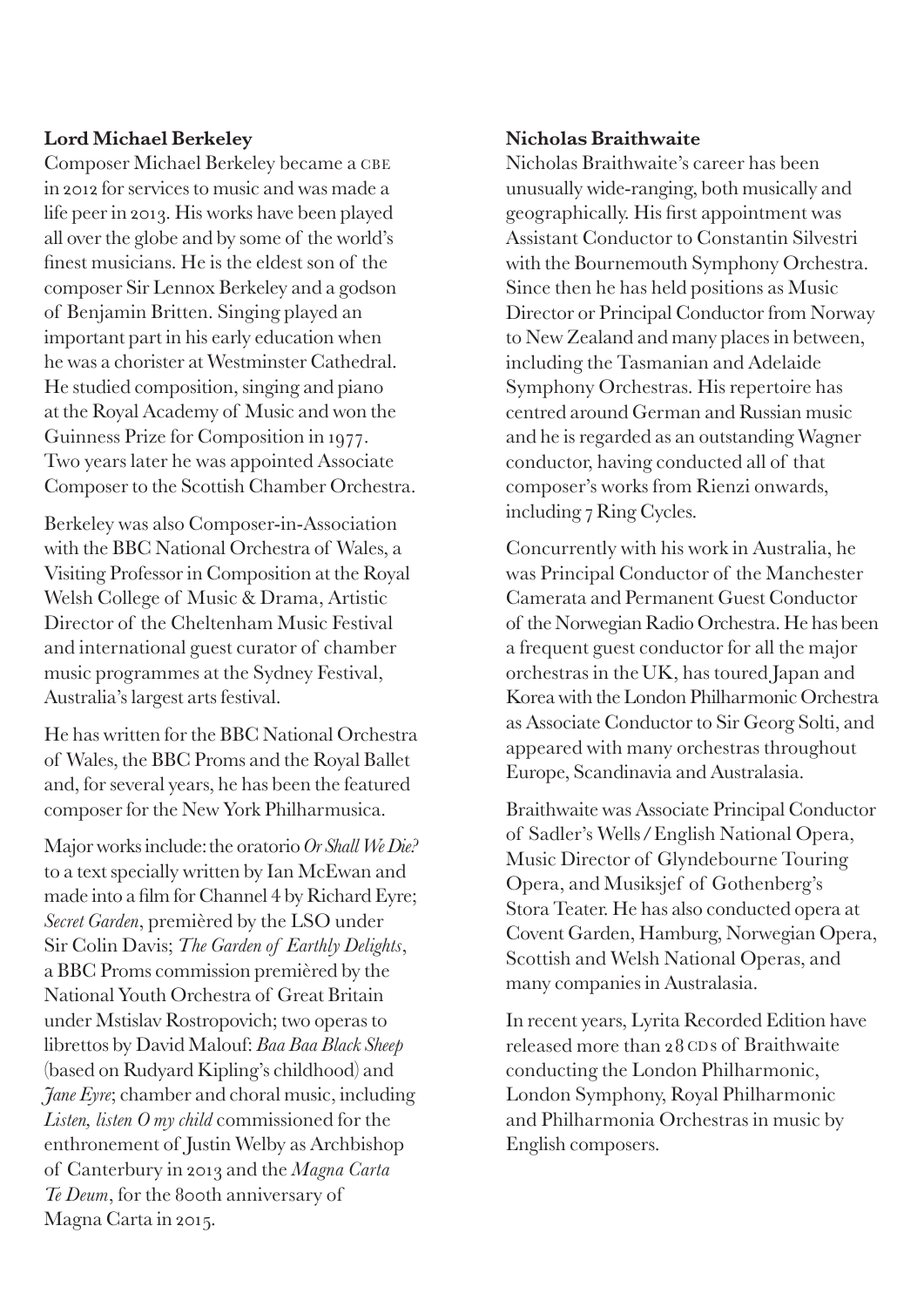#### **Lord Michael Berkeley**

Composer Michael Berkeley became a CBE in 2012 for services to music and was made a life peer in ����. His works have been played all over the globe and by some of the world's finest musicians. He is the eldest son of the composer Sir Lennox Berkeley and a godson of Benjamin Britten. Singing played an important part in his early education when he was a chorister at Westminster Cathedral. He studied composition, singing and piano at the Royal Academy of Music and won the Guinness Prize for Composition in 1977. Two years later he was appointed Associate Composer to the Scottish Chamber Orchestra.

Berkeley was also Composer-in-Association with the BBC National Orchestra of Wales, a Visiting Professor in Composition at the Royal Welsh College of Music & Drama, Artistic Director of the Cheltenham Music Festival and international guest curator of chamber music programmes at the Sydney Festival, Australia's largest arts festival.

He has written for the BBC National Orchestra of Wales, the BBC Proms and the Royal Ballet and, for several years, he has been the featured composer for the New York Philharmusica.

Major works include: the oratorio *Or Shall We Die?* to a text specially written by Ian McEwan and made into a film for Channel 4 by Richard Eyre; *Secret Garden*, premièred by the LSO under Sir Colin Davis; *The Garden of Earthly Delights*, a BBC Proms commission premièred by the National Youth Orchestra of Great Britain under Mstislav Rostropovich; two operas to librettos by David Malouf: *Baa Baa Black Sheep* (based on Rudyard Kipling's childhood) and *Jane Eyre*; chamber and choral music, including *Listen, listen O my child* commissioned for the enthronement of Justin Welby as Archbishop of Canterbury in ���� and the *Magna Carta*  Te Deum, for the 800th anniversary of Magna Carta in 2015.

#### **Nicholas Braithwaite**

Nicholas Braithwaite's career has been unusually wide-ranging, both musically and geographically. His first appointment was Assistant Conductor to Constantin Silvestri with the Bournemouth Symphony Orchestra. Since then he has held positions as Music Director or Principal Conductor from Norway to New Zealand and many places in between, including the Tasmanian and Adelaide Symphony Orchestras. His repertoire has centred around German and Russian music and he is regarded as an outstanding Wagner conductor, having conducted all of that composer's works from Rienzi onwards, including 7 Ring Cycles.

Concurrently with his work in Australia, he was Principal Conductor of the Manchester Camerata and Permanent Guest Conductor of the Norwegian Radio Orchestra. He has been a frequent guest conductor for all the major orchestras in the UK, has toured Japan and Korea with the London Philharmonic Orchestra as Associate Conductor to Sir Georg Solti, and appeared with many orchestras throughout Europe, Scandinavia and Australasia.

Braithwaite was Associate Principal Conductor of Sadler's Wells/English National Opera, Music Director of Glyndebourne Touring Opera, and Musiksjef of Gothenberg's Stora Teater. He has also conducted opera at Covent Garden, Hamburg, Norwegian Opera, Scottish and Welsh National Operas, and many companies in Australasia.

In recent years, Lyrita Recorded Edition have released more than 28 CDs of Braithwaite conducting the London Philharmonic, London Symphony, Royal Philharmonic and Philharmonia Orchestras in music by English composers.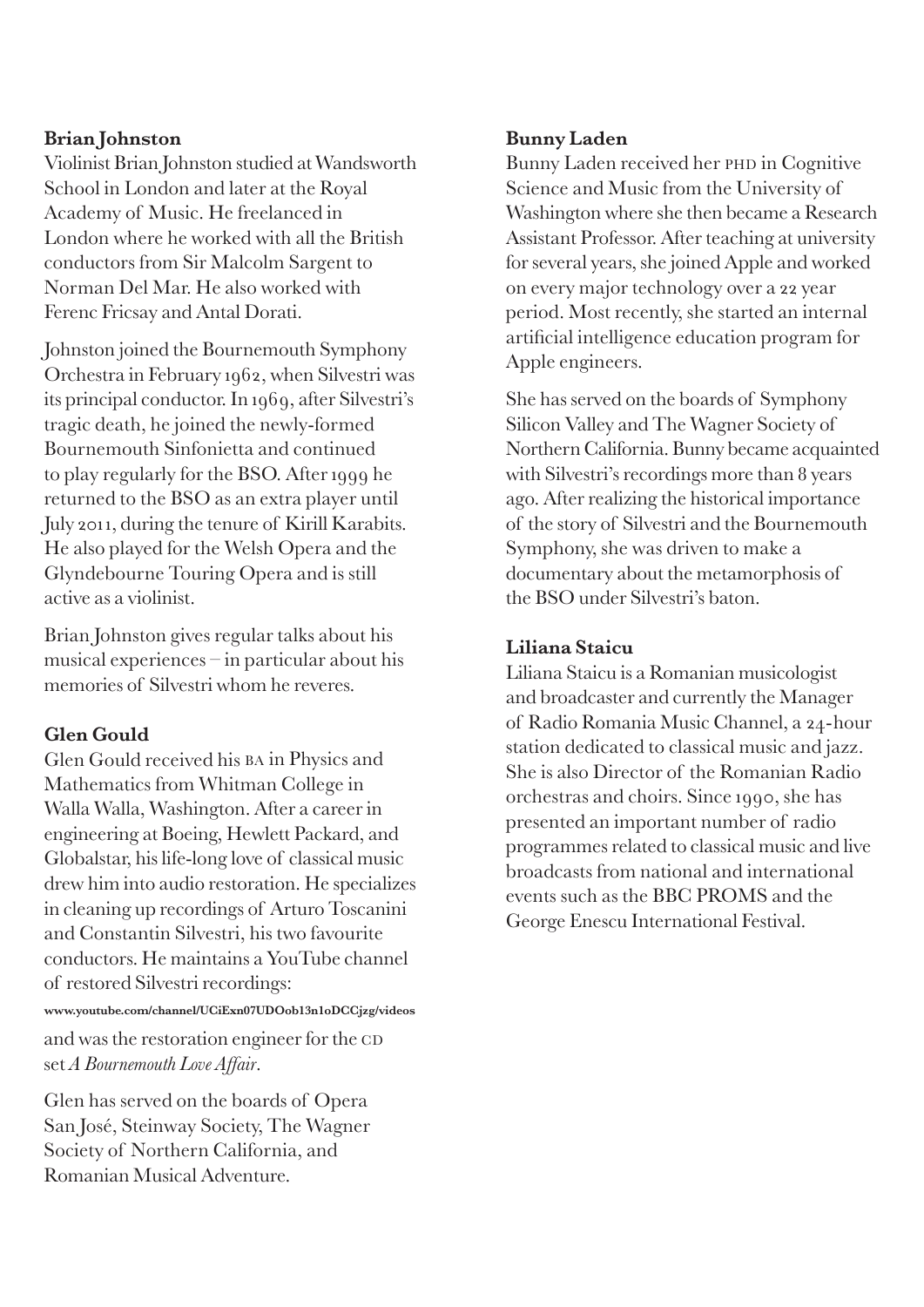#### **Brian Johnston**

Violinist Brian Johnston studied at Wandsworth School in London and later at the Royal Academy of Music. He freelanced in London where he worked with all the British conductors from Sir Malcolm Sargent to Norman Del Mar. He also worked with Ferenc Fricsay and Antal Dorati.

Johnston joined the Bournemouth Symphony Orchestra in February 1962, when Silvestri was its principal conductor. In 1969, after Silvestri's tragic death, he joined the newly-formed Bournemouth Sinfonietta and continued to play regularly for the BSO. After 1999 he returned to the BSO as an extra player until July 2011, during the tenure of Kirill Karabits. He also played for the Welsh Opera and the Glyndebourne Touring Opera and is still active as a violinist.

Brian Johnston gives regular talks about his musical experiences – in particular about his memories of Silvestri whom he reveres.

#### **Glen Gould**

Glen Gould received his ba in Physics and Mathematics from Whitman College in Walla Walla, Washington. After a career in engineering at Boeing, Hewlett Packard, and Globalstar, his life-long love of classical music drew him into audio restoration. He specializes in cleaning up recordings of Arturo Toscanini and Constantin Silvestri, his two favourite conductors. He maintains a YouTube channel of restored Silvestri recordings:

**www.youtube.com/channel/UCiExn07UDOob13n1oDCCjzg/videos**

and was the restoration engineer for the CD set *A Bournemouth Love Affair*.

Glen has served on the boards of Opera San José, Steinway Society, The Wagner Society of Northern California, and Romanian Musical Adventure.

#### **Bunny Laden**

Bunny Laden received her PHD in Cognitive Science and Music from the University of Washington where she then became a Research Assistant Professor. After teaching at university for several years, she joined Apple and worked on every major technology over a 22 year period. Most recently, she started an internal artificial intelligence education program for Apple engineers.

She has served on the boards of Symphony Silicon Valley and The Wagner Society of Northern California. Bunny became acquainted with Silvestri's recordings more than 8 years ago. After realizing the historical importance of the story of Silvestri and the Bournemouth Symphony, she was driven to make a documentary about the metamorphosis of the BSO under Silvestri's baton.

#### **Liliana Staicu**

Liliana Staicu is a Romanian musicologist and broadcaster and currently the Manager of Radio Romania Music Channel, a ��-hour station dedicated to classical music and jazz. She is also Director of the Romanian Radio orchestras and choirs. Since ����, she has presented an important number of radio programmes related to classical music and live broadcasts from national and international events such as the BBC PROMS and the George Enescu International Festival.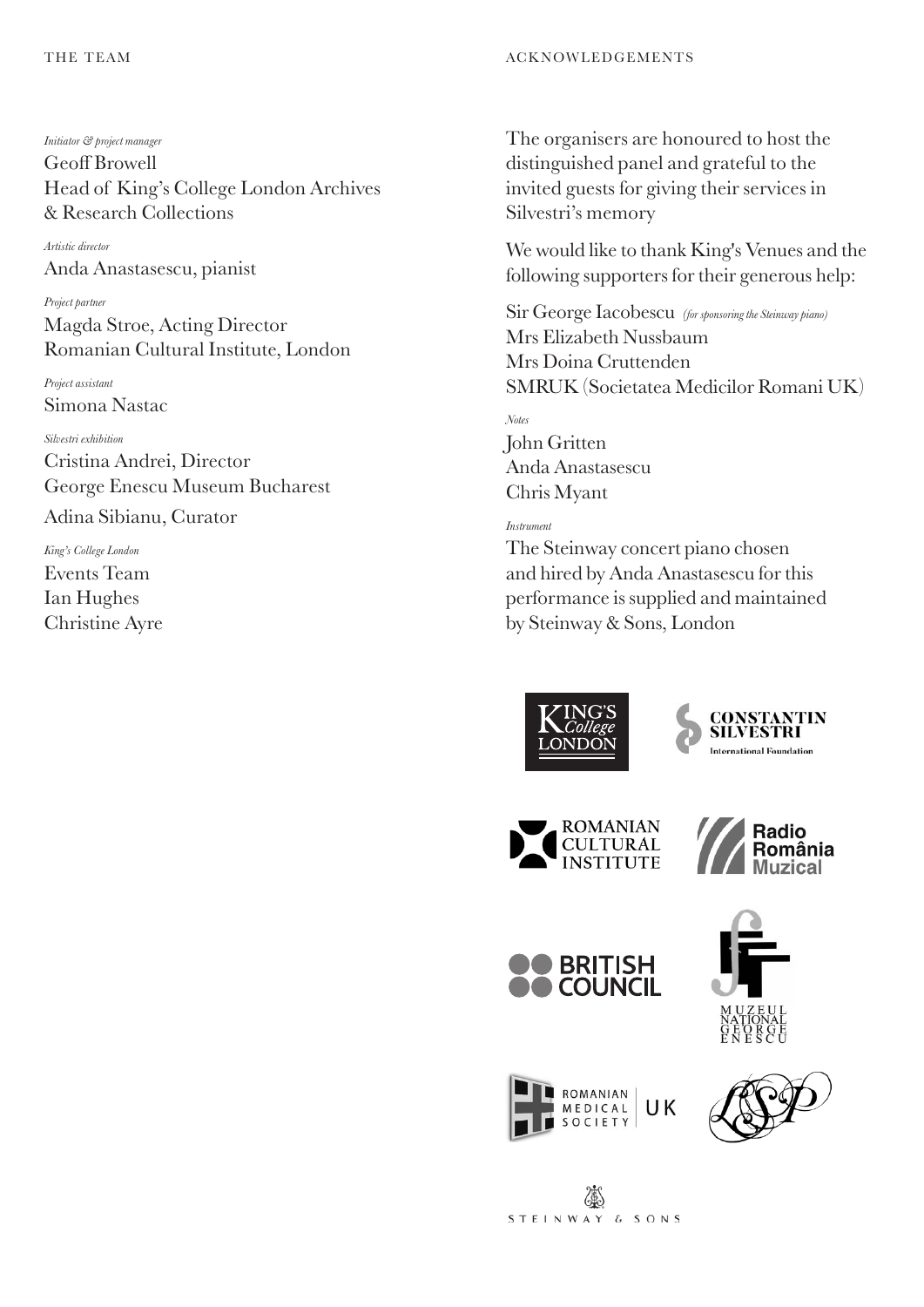#### THE TEAM ACKNOWLEDGEMENTS

#### *Initiator & project manager*

Geoff Browell Head of King's College London Archives & Research Collections

*Artistic director* Anda Anastasescu, pianist

*Project partner*

Magda Stroe, Acting Director Romanian Cultural Institute, London

*Project assistant* Simona Nastac

*Silvestri exhibition* Cristina Andrei, Director George Enescu Museum Bucharest

Adina Sibianu, Curator

*King's College London*  Events Team Ian Hughes Christine Ayre The organisers are honoured to host the distinguished panel and grateful to the invited guests for giving their services in Silvestri's memory

We would like to thank King's Venues and the following supporters for their generous help:

Sir George Iacobescu *(for sponsoring the Steinway piano)* Mrs Elizabeth Nussbaum Mrs Doina Cruttenden SMRUK (Societatea Medicilor Romani UK)

*Notes* John Gritten Anda Anastasescu Chris Myant

#### *Instrument*

The Steinway concert piano chosen and hired by Anda Anastasescu for this performance is supplied and maintained by Steinway & Sons, London















STEINWAY & SONS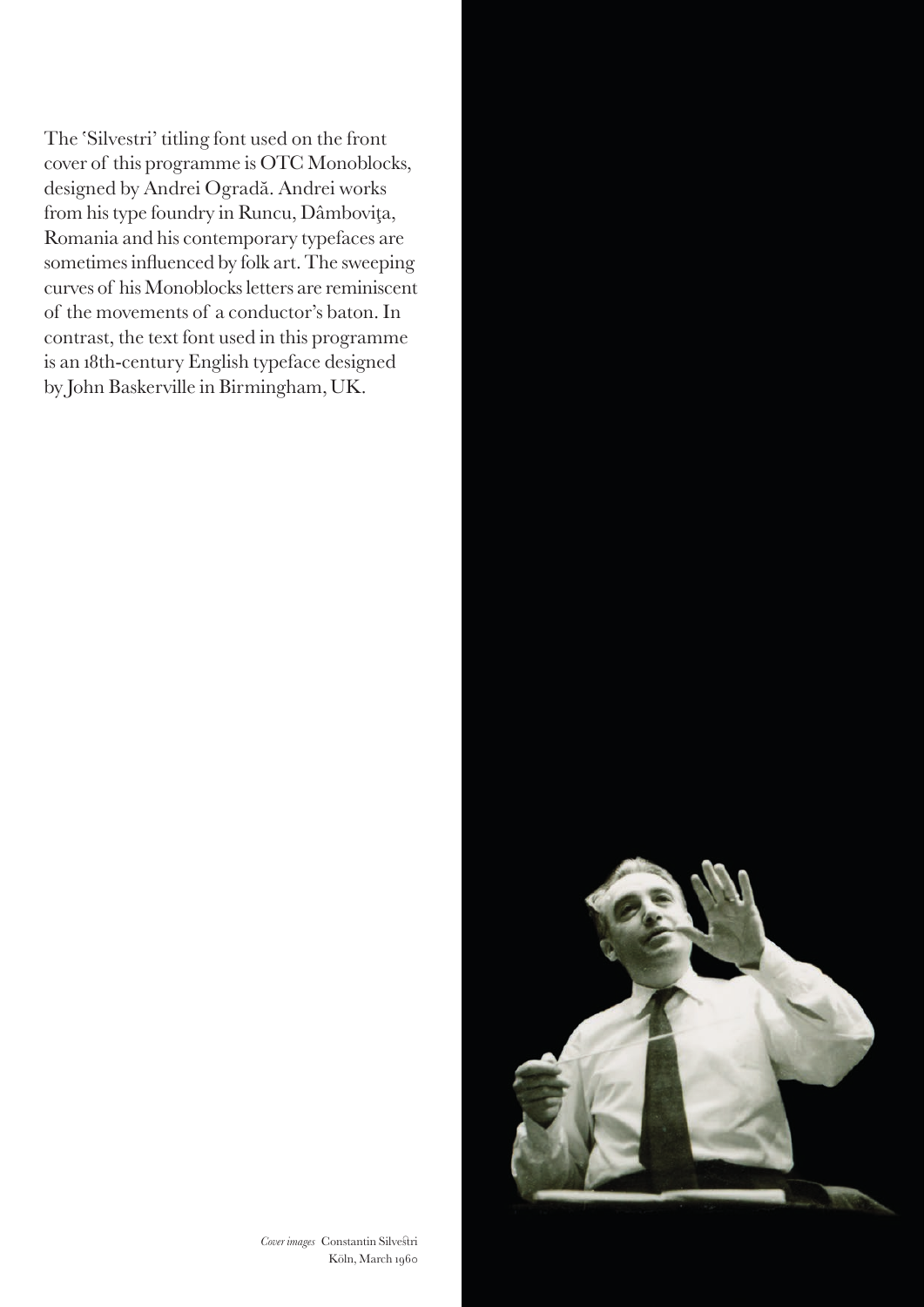The 'Silvestri' titling font used on the front cover of this programme is OTC Monoblocks, designed by Andrei Ogradă. Andrei works from his type foundry in Runcu, Dâmboviţa, Romania and his contemporary typefaces are sometimes influenced by folk art. The sweeping curves of his Monoblocks letters are reminiscent of the movements of a conductor's baton. In contrast, the text font used in this programme is an 18th-century English typeface designed by John Baskerville in Birmingham, UK.